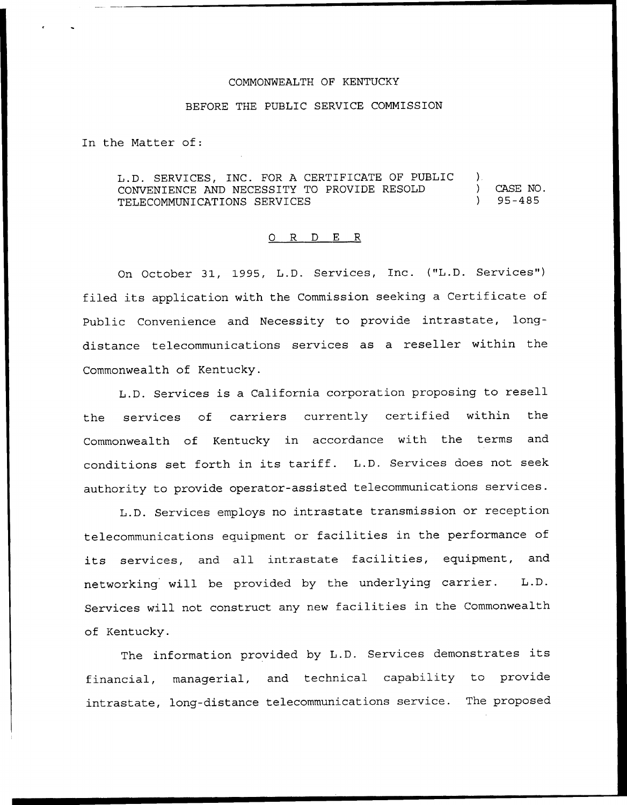## COMMONWEALTH OF KENTUCKY

## BEFORE THE PUBLIC SERVICE COMMISSION

In the Matter of:

L.D. SERVICES, INC. FOR A CERTIFICATE OF PUBLIC ).<br>CONVENIENCE AND NECESSITY TO PROVIDE RESOLD ) CONVENIENCE AND NECESSITY TO PROVIDE RESOLD ) TELECOMMUNICATIONS SERVICES CASE NO. 95-485

## 0 R <sup>D</sup> E R

On October 31, 1995, L.D. Services, Inc. ("L.D. Services") filed its application with the Commission seeking <sup>a</sup> Certificate of Public Convenience and Necessity to provide intrastate, longdistance telecommunications services as a reseller within the Commonwealth of Kentucky.

L.D. Services is <sup>a</sup> California corporation proposing to resell the services of carriers currently certified within the Commonwealth of Kentucky in accordance with the terms and conditions set forth in its tariff. L.D. Services does not seek authority to provide operator-assisted telecommunications services.

L.D. Services employs no intrastate transmission or reception telecommunications equipment or facilities in the performance of its services, and all intrastate facilities, equipment, and networking will be provided by the underlying carrier. L.D. Services will not construct any new facilities in the Commonwealth of Kentucky.

The information provided by L.D. Services demonstrates its financial, managerial, and technical capability to provide intrastate, long-distance telecommunications service. The proposed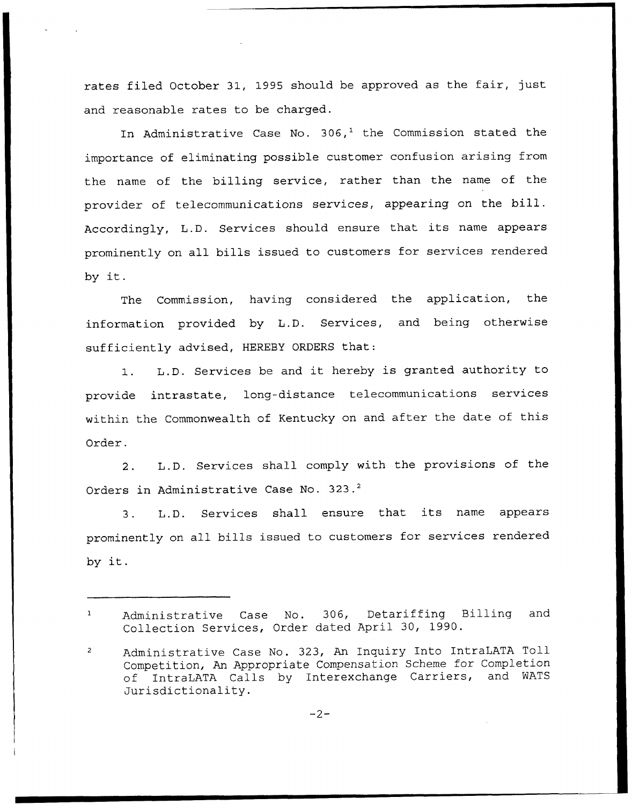rates filed October 31, 1995 should be approved as the fair, just and reasonable rates to be charged.

In Administrative Case No. 306,<sup>1</sup> the Commission stated the importance of eliminating possible customer confusion arising from the name of the billing service, rather than the name of the provider of telecommunications services, appearing on the bill. Accordingly, L.D. Services should ensure that its name appears prominently on all bills issued to customers for services rendered by it.

The Commission, having considered the application, the information provided by L.D. Services, and being otherwise sufficiently advised, HEREBY ORDERS that:

1. L.D. Services be and it hereby is granted authority to provide intrastate, long-distance telecommunications services within the Commonwealth of Kentucky on and after the date of this Order.

2. L.D. Services shall comply with the provisions of the Orders in Administrative Case No. 323.<sup>2</sup>

L.D. Services shall ensure that its name appears  $3.$ prominently on all bills issued to customers for services rendered by it.

 $\mathbf{1}$ Administrative Case No. 306, Detariffing Billing and Collection Services, Order dated April 30, 1990.

Administrative Case No. 323, An Inquiry Into IntraLATA Toll  $\overline{2}$ Competition, An Appropriate Compensation Scheme for Completion of IntraLATA Calls by Interexchange Carriers, and WATS Jurisdictionality.